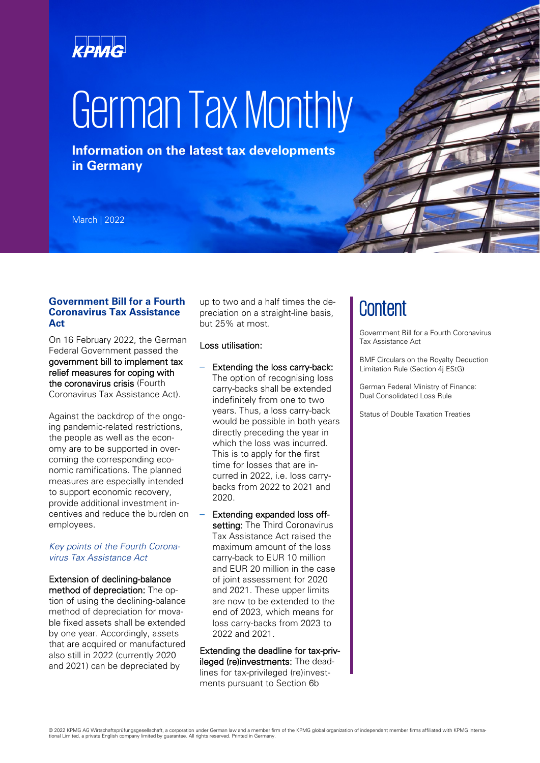## KPMG

# German Tax Monthly

**Information on the latest tax developments in Germany**

March | 2022

#### **Government Bill for a Fourth Coronavirus Tax Assistance Act**

On 16 February 2022, the German Federal Government passed the government bill to implement tax relief measures for coping with the coronavirus crisis (Fourth Coronavirus Tax Assistance Act).

Against the backdrop of the ongoing pandemic-related restrictions, the people as well as the economy are to be supported in overcoming the corresponding economic ramifications. The planned measures are especially intended to support economic recovery, provide additional investment incentives and reduce the burden on employees.

#### *Key points of the Fourth Coronavirus Tax Assistance Act*

#### Extension of declining-balance method of depreciation: The option of using the declining-balance method of depreciation for movable fixed assets shall be extended by one year. Accordingly, assets that are acquired or manufactured also still in 2022 (currently 2020 and 2021) can be depreciated by

up to two and a half times the depreciation on a straight-line basis, but 25% at most.

#### Loss utilisation:

- Extending the loss carry-back: The option of recognising loss carry-backs shall be extended indefinitely from one to two years. Thus, a loss carry-back would be possible in both years directly preceding the year in which the loss was incurred. This is to apply for the first time for losses that are incurred in 2022, i.e. loss carrybacks from 2022 to 2021 and 2020.
- Extending expanded loss offsetting: The Third Coronavirus Tax Assistance Act raised the maximum amount of the loss carry-back to EUR 10 million and EUR 20 million in the case of joint assessment for 2020 and 2021. These upper limits are now to be extended to the end of 2023, which means for loss carry-backs from 2023 to 2022 and 2021.

Extending the deadline for tax-privileged (re)investments: The deadlines for tax-privileged (re)investments pursuant to Section 6b

### **Content**

Government Bill for a Fourth Coronavirus Tax Assistance Act

BMF Circulars on the Royalty Deduction Limitation Rule (Section 4j EStG)

German Federal Ministry of Finance: Dual Consolidated Loss Rule

Status of Double Taxation Treaties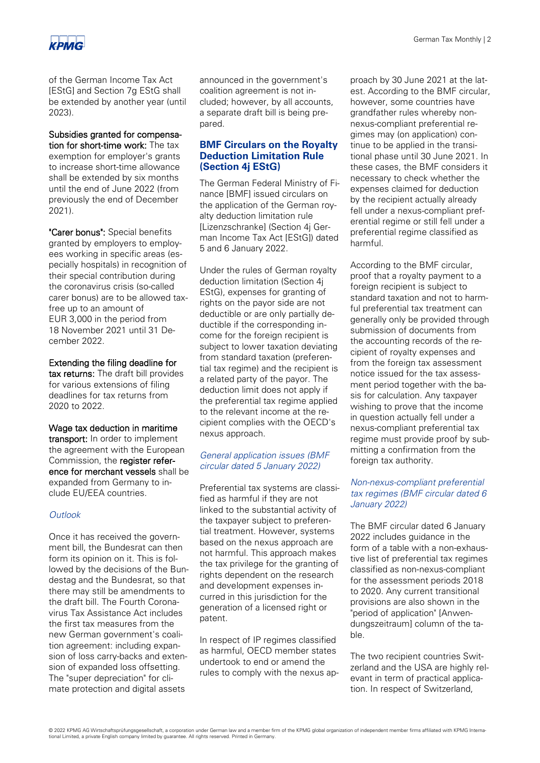

of the German Income Tax Act [EStG] and Section 7g EStG shall be extended by another year (until 2023).

#### Subsidies granted for compensation for short-time work: The tax exemption for employer's grants to increase short-time allowance

shall be extended by six months until the end of June 2022 (from previously the end of December 2021).

"Carer bonus": Special benefits granted by employers to employees working in specific areas (especially hospitals) in recognition of their special contribution during the coronavirus crisis (so-called carer bonus) are to be allowed taxfree up to an amount of EUR 3,000 in the period from 18 November 2021 until 31 December 2022.

Extending the filing deadline for tax returns: The draft bill provides for various extensions of filing deadlines for tax returns from 2020 to 2022.

Wage tax deduction in maritime transport: In order to implement the agreement with the European Commission, the register reference for merchant vessels shall be expanded from Germany to include EU/EEA countries.

#### *Outlook*

Once it has received the government bill, the Bundesrat can then form its opinion on it. This is followed by the decisions of the Bundestag and the Bundesrat, so that there may still be amendments to the draft bill. The Fourth Coronavirus Tax Assistance Act includes the first tax measures from the new German government's coalition agreement: including expansion of loss carry-backs and extension of expanded loss offsetting. The "super depreciation" for climate protection and digital assets

announced in the government's coalition agreement is not included; however, by all accounts, a separate draft bill is being prepared.

#### **BMF Circulars on the Royalty Deduction Limitation Rule (Section 4j EStG)**

The German Federal Ministry of Finance [BMF] issued circulars on the application of the German royalty deduction limitation rule [Lizenzschranke] (Section 4j German Income Tax Act [EStG]) dated 5 and 6 January 2022.

Under the rules of German royalty deduction limitation (Section 4j EStG), expenses for granting of rights on the payor side are not deductible or are only partially deductible if the corresponding income for the foreign recipient is subject to lower taxation deviating from standard taxation (preferential tax regime) and the recipient is a related party of the payor. The deduction limit does not apply if the preferential tax regime applied to the relevant income at the recipient complies with the OECD's nexus approach.

#### *General application issues (BMF circular dated 5 January 2022)*

Preferential tax systems are classified as harmful if they are not linked to the substantial activity of the taxpayer subject to preferential treatment. However, systems based on the nexus approach are not harmful. This approach makes the tax privilege for the granting of rights dependent on the research and development expenses incurred in this jurisdiction for the generation of a licensed right or patent.

In respect of IP regimes classified as harmful, OECD member states undertook to end or amend the rules to comply with the nexus approach by 30 June 2021 at the latest. According to the BMF circular, however, some countries have grandfather rules whereby nonnexus-compliant preferential regimes may (on application) continue to be applied in the transitional phase until 30 June 2021. In these cases, the BMF considers it necessary to check whether the expenses claimed for deduction by the recipient actually already fell under a nexus-compliant preferential regime or still fell under a preferential regime classified as harmful.

According to the BMF circular, proof that a royalty payment to a foreign recipient is subject to standard taxation and not to harmful preferential tax treatment can generally only be provided through submission of documents from the accounting records of the recipient of royalty expenses and from the foreign tax assessment notice issued for the tax assessment period together with the basis for calculation. Any taxpayer wishing to prove that the income in question actually fell under a nexus-compliant preferential tax regime must provide proof by submitting a confirmation from the foreign tax authority.

#### *Non-nexus-compliant preferential tax regimes (BMF circular dated 6 January 2022)*

The BMF circular dated 6 January 2022 includes guidance in the form of a table with a non-exhaustive list of preferential tax regimes classified as non-nexus-compliant for the assessment periods 2018 to 2020. Any current transitional provisions are also shown in the "period of application" [Anwendungszeitraum] column of the table.

The two recipient countries Switzerland and the USA are highly relevant in term of practical application. In respect of Switzerland,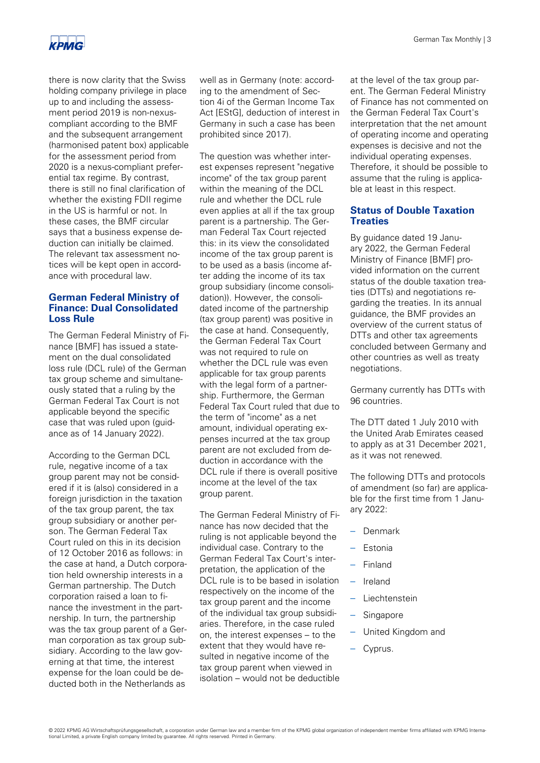

there is now clarity that the Swiss holding company privilege in place up to and including the assessment period 2019 is non-nexuscompliant according to the BMF and the subsequent arrangement (harmonised patent box) applicable for the assessment period from 2020 is a nexus-compliant preferential tax regime. By contrast, there is still no final clarification of whether the existing FDII regime in the US is harmful or not. In these cases, the BMF circular says that a business expense deduction can initially be claimed. The relevant tax assessment notices will be kept open in accordance with procedural law.

#### **German Federal Ministry of Finance: Dual Consolidated Loss Rule**

The German Federal Ministry of Finance [BMF] has issued a statement on the dual consolidated loss rule (DCL rule) of the German tax group scheme and simultaneously stated that a ruling by the German Federal Tax Court is not applicable beyond the specific case that was ruled upon (guidance as of 14 January 2022).

According to the German DCL rule, negative income of a tax group parent may not be considered if it is (also) considered in a foreign jurisdiction in the taxation of the tax group parent, the tax group subsidiary or another person. The German Federal Tax Court ruled on this in its decision of 12 October 2016 as follows: in the case at hand, a Dutch corporation held ownership interests in a German partnership. The Dutch corporation raised a loan to finance the investment in the partnership. In turn, the partnership was the tax group parent of a German corporation as tax group subsidiary. According to the law governing at that time, the interest expense for the loan could be deducted both in the Netherlands as

well as in Germany (note: according to the amendment of Section 4i of the German Income Tax Act [EStG], deduction of interest in Germany in such a case has been prohibited since 2017).

The question was whether interest expenses represent "negative income" of the tax group parent within the meaning of the DCL rule and whether the DCL rule even applies at all if the tax group parent is a partnership. The German Federal Tax Court rejected this: in its view the consolidated income of the tax group parent is to be used as a basis (income after adding the income of its tax group subsidiary (income consolidation)). However, the consolidated income of the partnership (tax group parent) was positive in the case at hand. Consequently, the German Federal Tax Court was not required to rule on whether the DCL rule was even applicable for tax group parents with the legal form of a partnership. Furthermore, the German Federal Tax Court ruled that due to the term of "income" as a net amount, individual operating expenses incurred at the tax group parent are not excluded from deduction in accordance with the DCL rule if there is overall positive income at the level of the tax group parent.

The German Federal Ministry of Finance has now decided that the ruling is not applicable beyond the individual case. Contrary to the German Federal Tax Court's interpretation, the application of the DCL rule is to be based in isolation respectively on the income of the tax group parent and the income of the individual tax group subsidiaries. Therefore, in the case ruled on, the interest expenses – to the extent that they would have resulted in negative income of the tax group parent when viewed in isolation – would not be deductible

at the level of the tax group parent. The German Federal Ministry of Finance has not commented on the German Federal Tax Court's interpretation that the net amount of operating income and operating expenses is decisive and not the individual operating expenses. Therefore, it should be possible to assume that the ruling is applicable at least in this respect.

#### **Status of Double Taxation Treaties**

By guidance dated 19 January 2022, the German Federal Ministry of Finance [BMF] provided information on the current status of the double taxation treaties (DTTs) and negotiations regarding the treaties. In its annual guidance, the BMF provides an overview of the current status of DTTs and other tax agreements concluded between Germany and other countries as well as treaty negotiations.

Germany currently has DTTs with 96 countries.

The DTT dated 1 July 2010 with the United Arab Emirates ceased to apply as at 31 December 2021, as it was not renewed.

The following DTTs and protocols of amendment (so far) are applicable for the first time from 1 January 2022:

- Denmark
- Estonia
- Finland
- Ireland
- Liechtenstein
- Singapore
- United Kingdom and
- Cyprus.